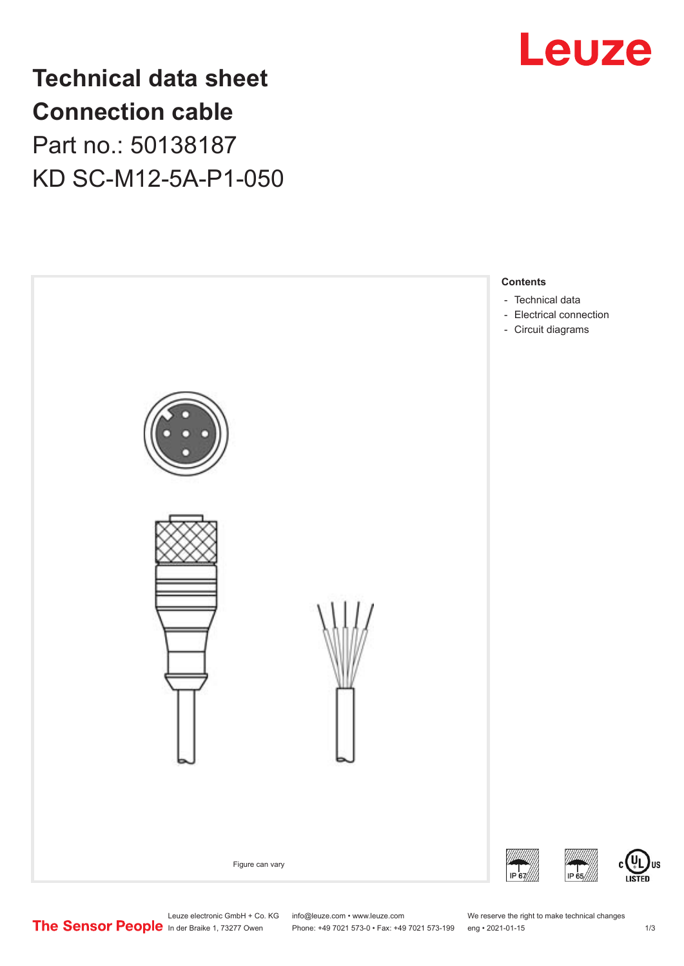

## **Technical data sheet Connection cable** Part no.: 50138187 KD SC-M12-5A-P1-050



Leuze electronic GmbH + Co. KG info@leuze.com • www.leuze.com We reserve the right to make technical changes<br>
The Sensor People in der Braike 1, 73277 Owen Phone: +49 7021 573-0 • Fax: +49 7021 573-199 eng • 2021-01-15 Phone: +49 7021 573-0 • Fax: +49 7021 573-199 eng • 2021-01-15

US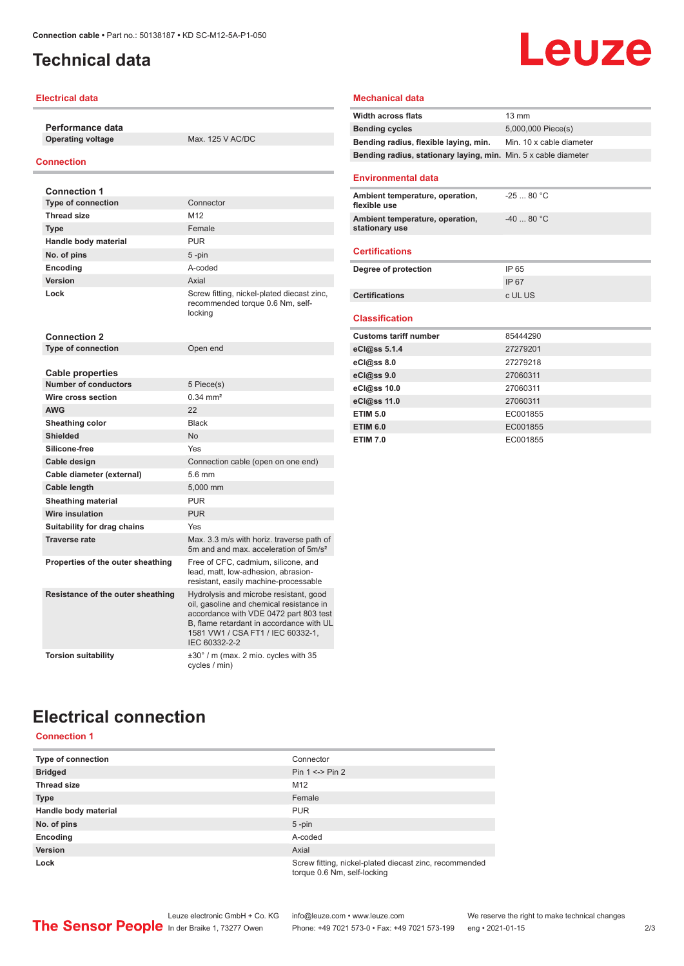## <span id="page-1-0"></span>**Technical data**

#### **Electrical data**

**Performance data Operating voltage** Max. 125 V AC/DC

#### **Connection**

| <b>Connection 1</b>                                    |                                                                                                                                                                                                                                |  |
|--------------------------------------------------------|--------------------------------------------------------------------------------------------------------------------------------------------------------------------------------------------------------------------------------|--|
| <b>Type of connection</b>                              | Connector                                                                                                                                                                                                                      |  |
| <b>Thread size</b>                                     | M <sub>12</sub>                                                                                                                                                                                                                |  |
| <b>Type</b>                                            | Female                                                                                                                                                                                                                         |  |
| Handle body material                                   | <b>PUR</b>                                                                                                                                                                                                                     |  |
| No. of pins                                            | $5$ -pin                                                                                                                                                                                                                       |  |
| <b>Encoding</b>                                        | A-coded                                                                                                                                                                                                                        |  |
| Version                                                | Axial                                                                                                                                                                                                                          |  |
| Lock                                                   | Screw fitting, nickel-plated diecast zinc,<br>recommended torque 0.6 Nm, self-<br>locking                                                                                                                                      |  |
| <b>Connection 2</b>                                    |                                                                                                                                                                                                                                |  |
| <b>Type of connection</b>                              | Open end                                                                                                                                                                                                                       |  |
|                                                        |                                                                                                                                                                                                                                |  |
| <b>Cable properties</b><br><b>Number of conductors</b> | 5 Piece(s)                                                                                                                                                                                                                     |  |
| Wire cross section                                     | $0.34 \, \text{mm}^2$                                                                                                                                                                                                          |  |
| <b>AWG</b>                                             | 22                                                                                                                                                                                                                             |  |
| Sheathing color                                        | <b>Black</b>                                                                                                                                                                                                                   |  |
| Shielded                                               | No                                                                                                                                                                                                                             |  |
| Silicone-free                                          | Yes                                                                                                                                                                                                                            |  |
| Cable design                                           | Connection cable (open on one end)                                                                                                                                                                                             |  |
| Cable diameter (external)                              | 5.6 mm                                                                                                                                                                                                                         |  |
| Cable length                                           | 5,000 mm                                                                                                                                                                                                                       |  |
| <b>Sheathing material</b>                              | <b>PUR</b>                                                                                                                                                                                                                     |  |
| <b>Wire insulation</b>                                 | <b>PUR</b>                                                                                                                                                                                                                     |  |
| Suitability for drag chains                            | Yes                                                                                                                                                                                                                            |  |
| <b>Traverse rate</b>                                   | Max. 3.3 m/s with horiz. traverse path of<br>5m and and max, acceleration of 5m/s <sup>2</sup>                                                                                                                                 |  |
| Properties of the outer sheathing                      | Free of CFC, cadmium, silicone, and<br>lead, matt, low-adhesion, abrasion-<br>resistant, easily machine-processable                                                                                                            |  |
| Resistance of the outer sheathing                      | Hydrolysis and microbe resistant, good<br>oil, gasoline and chemical resistance in<br>accordance with VDE 0472 part 803 test<br>B. flame retardant in accordance with UL<br>1581 VW1 / CSA FT1 / IEC 60332-1.<br>IEC 60332-2-2 |  |
| <b>Torsion suitability</b>                             | $\pm 30^\circ$ / m (max. 2 mio. cycles with 35<br>cycles / min)                                                                                                                                                                |  |

#### **Mechanical data**

| <b>Width across flats</b>                                       | $13 \text{ mm}$          |  |
|-----------------------------------------------------------------|--------------------------|--|
| <b>Bending cycles</b>                                           | 5,000,000 Piece(s)       |  |
| Bending radius, flexible laying, min.                           | Min. 10 x cable diameter |  |
| Bending radius, stationary laying, min. Min. 5 x cable diameter |                          |  |
|                                                                 |                          |  |
| <b>Environmental data</b>                                       |                          |  |
| Ambient temperature, operation,<br>flexible use                 | $-2580 °C$               |  |
| Ambient temperature, operation,<br>stationary use               | $-4080 °C$               |  |
| <b>Certifications</b>                                           |                          |  |
| Degree of protection                                            | IP 65                    |  |
|                                                                 | IP 67                    |  |
| <b>Certifications</b>                                           | c UL US                  |  |
|                                                                 |                          |  |
| <b>Classification</b>                                           |                          |  |
| <b>Customs tariff number</b>                                    | 85444290                 |  |
| eCl@ss 5.1.4                                                    | 27279201                 |  |
| eCl@ss 8.0                                                      | 27279218                 |  |
| eCl@ss 9.0                                                      | 27060311                 |  |
| eCl@ss 10.0                                                     | 27060311                 |  |
| eCl@ss 11.0                                                     | 27060311                 |  |
| <b>ETIM 5.0</b>                                                 | EC001855                 |  |
| <b>ETIM 6.0</b>                                                 | EC001855                 |  |
| <b>ETIM 7.0</b>                                                 | EC001855                 |  |

**Leuze** 

## **Electrical connection**

#### **Connection 1**

| Type of connection   | Connector                                                                             |  |
|----------------------|---------------------------------------------------------------------------------------|--|
| <b>Bridged</b>       | Pin $1 \le -2$ Pin 2                                                                  |  |
| <b>Thread size</b>   | M <sub>12</sub>                                                                       |  |
| <b>Type</b>          | Female                                                                                |  |
| Handle body material | <b>PUR</b>                                                                            |  |
| No. of pins          | $5$ -pin                                                                              |  |
| Encoding             | A-coded                                                                               |  |
| <b>Version</b>       | Axial                                                                                 |  |
| Lock                 | Screw fitting, nickel-plated diecast zinc, recommended<br>torque 0.6 Nm, self-locking |  |